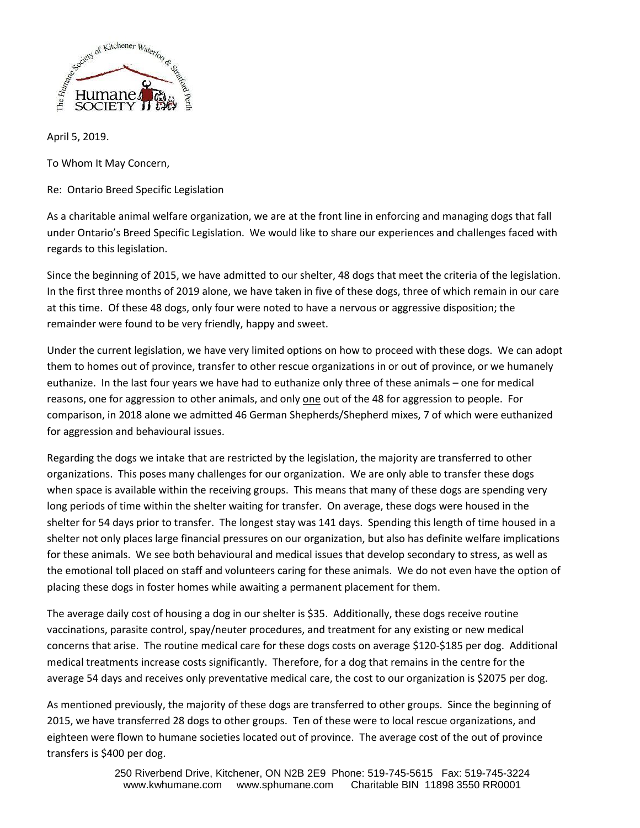

April 5, 2019.

To Whom It May Concern,

Re: Ontario Breed Specific Legislation

As a charitable animal welfare organization, we are at the front line in enforcing and managing dogs that fall under Ontario's Breed Specific Legislation. We would like to share our experiences and challenges faced with regards to this legislation.

Since the beginning of 2015, we have admitted to our shelter, 48 dogs that meet the criteria of the legislation. In the first three months of 2019 alone, we have taken in five of these dogs, three of which remain in our care at this time. Of these 48 dogs, only four were noted to have a nervous or aggressive disposition; the remainder were found to be very friendly, happy and sweet.

Under the current legislation, we have very limited options on how to proceed with these dogs. We can adopt them to homes out of province, transfer to other rescue organizations in or out of province, or we humanely euthanize. In the last four years we have had to euthanize only three of these animals – one for medical reasons, one for aggression to other animals, and only one out of the 48 for aggression to people. For comparison, in 2018 alone we admitted 46 German Shepherds/Shepherd mixes, 7 of which were euthanized for aggression and behavioural issues.

Regarding the dogs we intake that are restricted by the legislation, the majority are transferred to other organizations. This poses many challenges for our organization. We are only able to transfer these dogs when space is available within the receiving groups. This means that many of these dogs are spending very long periods of time within the shelter waiting for transfer. On average, these dogs were housed in the shelter for 54 days prior to transfer. The longest stay was 141 days. Spending this length of time housed in a shelter not only places large financial pressures on our organization, but also has definite welfare implications for these animals. We see both behavioural and medical issues that develop secondary to stress, as well as the emotional toll placed on staff and volunteers caring for these animals. We do not even have the option of placing these dogs in foster homes while awaiting a permanent placement for them.

The average daily cost of housing a dog in our shelter is \$35. Additionally, these dogs receive routine vaccinations, parasite control, spay/neuter procedures, and treatment for any existing or new medical concerns that arise. The routine medical care for these dogs costs on average \$120-\$185 per dog. Additional medical treatments increase costs significantly. Therefore, for a dog that remains in the centre for the average 54 days and receives only preventative medical care, the cost to our organization is \$2075 per dog.

As mentioned previously, the majority of these dogs are transferred to other groups. Since the beginning of 2015, we have transferred 28 dogs to other groups. Ten of these were to local rescue organizations, and eighteen were flown to humane societies located out of province. The average cost of the out of province transfers is \$400 per dog.